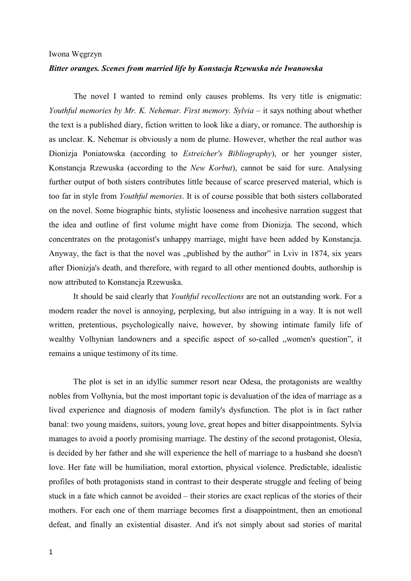## Iwona Węgrzyn

## *Bitter oranges. Scenes from married life by Konstacja Rzewuska née Iwanowska*

The novel I wanted to remind only causes problems. Its very title is enigmatic: *Youthful memories by Mr. K. Nehemar. First memory. Sylvia* – it says nothing about whether the text is a published diary, fiction written to look like a diary, or romance. The authorship is as unclear. K. Nehemar is obviously a nom de plume. However, whether the real author was Dionizja Poniatowska (according to *Estreicher's Bibliography*), or her younger sister, Konstancja Rzewuska (according to the *New Korbut*), cannot be said for sure. Analysing further output of both sisters contributes little because of scarce preserved material, which is too far in style from *Youthful memories*. It is of course possible that both sisters collaborated on the novel. Some biographic hints, stylistic looseness and incohesive narration suggest that the idea and outline of first volume might have come from Dionizja. The second, which concentrates on the protagonist's unhappy marriage, might have been added by Konstancja. Anyway, the fact is that the novel was "published by the author" in Lviv in 1874, six years after Dionizja's death, and therefore, with regard to all other mentioned doubts, authorship is now attributed to Konstancja Rzewuska.

It should be said clearly that *Youthful recollections* are not an outstanding work. For a modern reader the novel is annoying, perplexing, but also intriguing in a way. It is not well written, pretentious, psychologically naive, however, by showing intimate family life of wealthy Volhynian landowners and a specific aspect of so-called "women's question", it remains a unique testimony of its time.

The plot is set in an idyllic summer resort near Odesa, the protagonists are wealthy nobles from Volhynia, but the most important topic is devaluation of the idea of marriage as a lived experience and diagnosis of modern family's dysfunction. The plot is in fact rather banal: two young maidens, suitors, young love, great hopes and bitter disappointments. Sylvia manages to avoid a poorly promising marriage. The destiny of the second protagonist, Olesia, is decided by her father and she will experience the hell of marriage to a husband she doesn't love. Her fate will be humiliation, moral extortion, physical violence. Predictable, idealistic profiles of both protagonists stand in contrast to their desperate struggle and feeling of being stuck in a fate which cannot be avoided – their stories are exact replicas of the stories of their mothers. For each one of them marriage becomes first a disappointment, then an emotional defeat, and finally an existential disaster. And it's not simply about sad stories of marital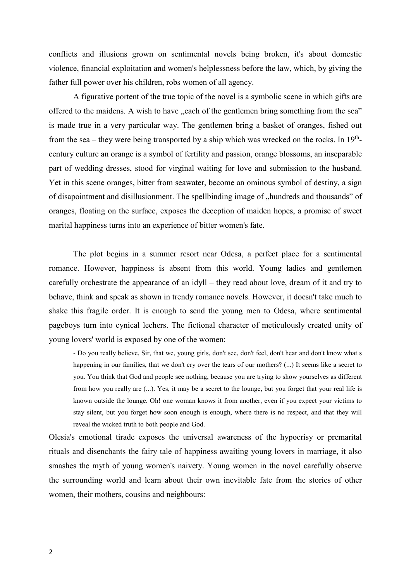conflicts and illusions grown on sentimental novels being broken, it's about domestic violence, financial exploitation and women's helplessness before the law, which, by giving the father full power over his children, robs women of all agency.

A figurative portent of the true topic of the novel is a symbolic scene in which gifts are offered to the maidens. A wish to have "each of the gentlemen bring something from the sea" is made true in a very particular way. The gentlemen bring a basket of oranges, fished out from the sea – they were being transported by a ship which was wrecked on the rocks. In  $19<sup>th</sup>$ century culture an orange is a symbol of fertility and passion, orange blossoms, an inseparable part of wedding dresses, stood for virginal waiting for love and submission to the husband. Yet in this scene oranges, bitter from seawater, become an ominous symbol of destiny, a sign of disapointment and disillusionment. The spellbinding image of "hundreds and thousands" of oranges, floating on the surface, exposes the deception of maiden hopes, a promise of sweet marital happiness turns into an experience of bitter women's fate.

The plot begins in a summer resort near Odesa, a perfect place for a sentimental romance. However, happiness is absent from this world. Young ladies and gentlemen carefully orchestrate the appearance of an idyll – they read about love, dream of it and try to behave, think and speak as shown in trendy romance novels. However, it doesn't take much to shake this fragile order. It is enough to send the young men to Odesa, where sentimental pageboys turn into cynical lechers. The fictional character of meticulously created unity of young lovers' world is exposed by one of the women:

- Do you really believe, Sir, that we, young girls, don't see, don't feel, don't hear and don't know what s happening in our families, that we don't cry over the tears of our mothers? (...) It seems like a secret to you. You think that God and people see nothing, because you are trying to show yourselves as different from how you really are (...). Yes, it may be a secret to the lounge, but you forget that your real life is known outside the lounge. Oh! one woman knows it from another, even if you expect your victims to stay silent, but you forget how soon enough is enough, where there is no respect, and that they will reveal the wicked truth to both people and God.

Olesia's emotional tirade exposes the universal awareness of the hypocrisy or premarital rituals and disenchants the fairy tale of happiness awaiting young lovers in marriage, it also smashes the myth of young women's naivety. Young women in the novel carefully observe the surrounding world and learn about their own inevitable fate from the stories of other women, their mothers, cousins and neighbours: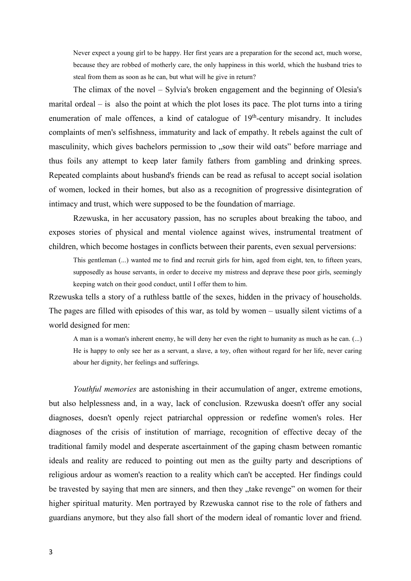Never expect a young girl to be happy. Her first years are a preparation for the second act, much worse, because they are robbed of motherly care, the only happiness in this world, which the husband tries to steal from them as soon as he can, but what will he give in return?

The climax of the novel – Sylvia's broken engagement and the beginning of Olesia's marital ordeal – is also the point at which the plot loses its pace. The plot turns into a tiring enumeration of male offences, a kind of catalogue of  $19<sup>th</sup>$ -century misandry. It includes complaints of men's selfishness, immaturity and lack of empathy. It rebels against the cult of masculinity, which gives bachelors permission to "sow their wild oats" before marriage and thus foils any attempt to keep later family fathers from gambling and drinking sprees. Repeated complaints about husband's friends can be read as refusal to accept social isolation of women, locked in their homes, but also as a recognition of progressive disintegration of intimacy and trust, which were supposed to be the foundation of marriage.

Rzewuska, in her accusatory passion, has no scruples about breaking the taboo, and exposes stories of physical and mental violence against wives, instrumental treatment of children, which become hostages in conflicts between their parents, even sexual perversions:

This gentleman (...) wanted me to find and recruit girls for him, aged from eight, ten, to fifteen years, supposedly as house servants, in order to deceive my mistress and deprave these poor girls, seemingly keeping watch on their good conduct, until I offer them to him.

Rzewuska tells a story of a ruthless battle of the sexes, hidden in the privacy of households. The pages are filled with episodes of this war, as told by women – usually silent victims of a world designed for men:

A man is a woman's inherent enemy, he will deny her even the right to humanity as much as he can. (...) He is happy to only see her as a servant, a slave, a toy, often without regard for her life, never caring abour her dignity, her feelings and sufferings.

*Youthful memories* are astonishing in their accumulation of anger, extreme emotions, but also helplessness and, in a way, lack of conclusion. Rzewuska doesn't offer any social diagnoses, doesn't openly reject patriarchal oppression or redefine women's roles. Her diagnoses of the crisis of institution of marriage, recognition of effective decay of the traditional family model and desperate ascertainment of the gaping chasm between romantic ideals and reality are reduced to pointing out men as the guilty party and descriptions of religious ardour as women's reaction to a reality which can't be accepted. Her findings could be travested by saying that men are sinners, and then they "take revenge" on women for their higher spiritual maturity. Men portrayed by Rzewuska cannot rise to the role of fathers and guardians anymore, but they also fall short of the modern ideal of romantic lover and friend.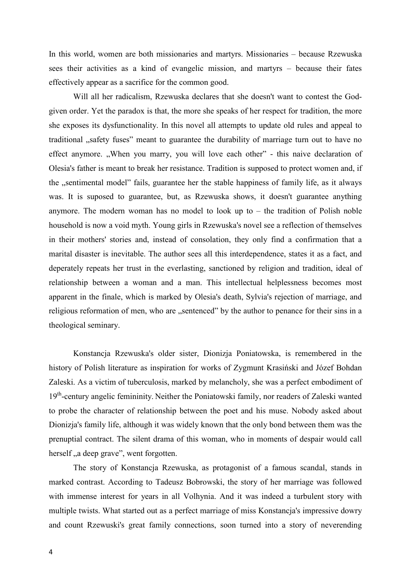In this world, women are both missionaries and martyrs. Missionaries – because Rzewuska sees their activities as a kind of evangelic mission, and martyrs – because their fates effectively appear as a sacrifice for the common good.

Will all her radicalism, Rzewuska declares that she doesn't want to contest the Godgiven order. Yet the paradox is that, the more she speaks of her respect for tradition, the more she exposes its dysfunctionality. In this novel all attempts to update old rules and appeal to traditional , safety fuses" meant to guarantee the durability of marriage turn out to have no effect anymore. "When you marry, you will love each other" - this naive declaration of Olesia's father is meant to break her resistance. Tradition is supposed to protect women and, if the "sentimental model" fails, guarantee her the stable happiness of family life, as it always was. It is suposed to guarantee, but, as Rzewuska shows, it doesn't guarantee anything anymore. The modern woman has no model to look up to – the tradition of Polish noble household is now a void myth. Young girls in Rzewuska's novel see a reflection of themselves in their mothers' stories and, instead of consolation, they only find a confirmation that a marital disaster is inevitable. The author sees all this interdependence, states it as a fact, and deperately repeats her trust in the everlasting, sanctioned by religion and tradition, ideal of relationship between a woman and a man. This intellectual helplessness becomes most apparent in the finale, which is marked by Olesia's death, Sylvia's rejection of marriage, and religious reformation of men, who are "sentenced" by the author to penance for their sins in a theological seminary.

Konstancja Rzewuska's older sister, Dionizja Poniatowska, is remembered in the history of Polish literature as inspiration for works of Zygmunt Krasiński and Józef Bohdan Zaleski. As a victim of tuberculosis, marked by melancholy, she was a perfect embodiment of 19<sup>th</sup>-century angelic femininity. Neither the Poniatowski family, nor readers of Zaleski wanted to probe the character of relationship between the poet and his muse. Nobody asked about Dionizja's family life, although it was widely known that the only bond between them was the prenuptial contract. The silent drama of this woman, who in moments of despair would call herself, a deep grave", went forgotten.

The story of Konstancja Rzewuska, as protagonist of a famous scandal, stands in marked contrast. According to Tadeusz Bobrowski, the story of her marriage was followed with immense interest for years in all Volhynia. And it was indeed a turbulent story with multiple twists. What started out as a perfect marriage of miss Konstancja's impressive dowry and count Rzewuski's great family connections, soon turned into a story of neverending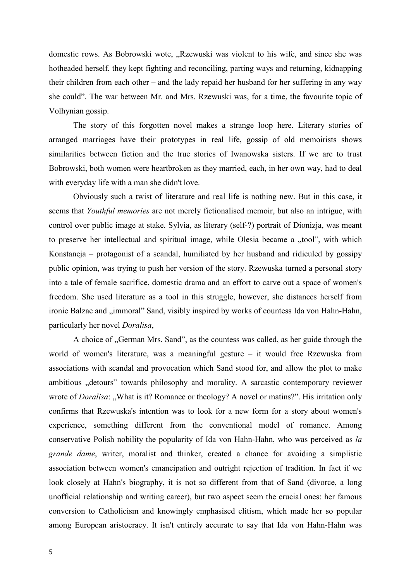domestic rows. As Bobrowski wote, "Rzewuski was violent to his wife, and since she was hotheaded herself, they kept fighting and reconciling, parting ways and returning, kidnapping their children from each other – and the lady repaid her husband for her suffering in any way she could". The war between Mr. and Mrs. Rzewuski was, for a time, the favourite topic of Volhynian gossip.

The story of this forgotten novel makes a strange loop here. Literary stories of arranged marriages have their prototypes in real life, gossip of old memoirists shows similarities between fiction and the true stories of Iwanowska sisters. If we are to trust Bobrowski, both women were heartbroken as they married, each, in her own way, had to deal with everyday life with a man she didn't love.

Obviously such a twist of literature and real life is nothing new. But in this case, it seems that *Youthful memories* are not merely fictionalised memoir, but also an intrigue, with control over public image at stake. Sylvia, as literary (self-?) portrait of Dionizja, was meant to preserve her intellectual and spiritual image, while Olesia became a "tool", with which Konstancja – protagonist of a scandal, humiliated by her husband and ridiculed by gossipy public opinion, was trying to push her version of the story. Rzewuska turned a personal story into a tale of female sacrifice, domestic drama and an effort to carve out a space of women's freedom. She used literature as a tool in this struggle, however, she distances herself from ironic Balzac and "immoral" Sand, visibly inspired by works of countess Ida von Hahn-Hahn, particularly her novel *Doralisa*,

A choice of , German Mrs. Sand", as the countess was called, as her guide through the world of women's literature, was a meaningful gesture – it would free Rzewuska from associations with scandal and provocation which Sand stood for, and allow the plot to make ambitious "detours" towards philosophy and morality. A sarcastic contemporary reviewer wrote of *Doralisa*: "What is it? Romance or theology? A novel or matins?". His irritation only confirms that Rzewuska's intention was to look for a new form for a story about women's experience, something different from the conventional model of romance. Among conservative Polish nobility the popularity of Ida von Hahn-Hahn, who was perceived as *la grande dame*, writer, moralist and thinker, created a chance for avoiding a simplistic association between women's emancipation and outright rejection of tradition. In fact if we look closely at Hahn's biography, it is not so different from that of Sand (divorce, a long unofficial relationship and writing career), but two aspect seem the crucial ones: her famous conversion to Catholicism and knowingly emphasised elitism, which made her so popular among European aristocracy. It isn't entirely accurate to say that Ida von Hahn-Hahn was